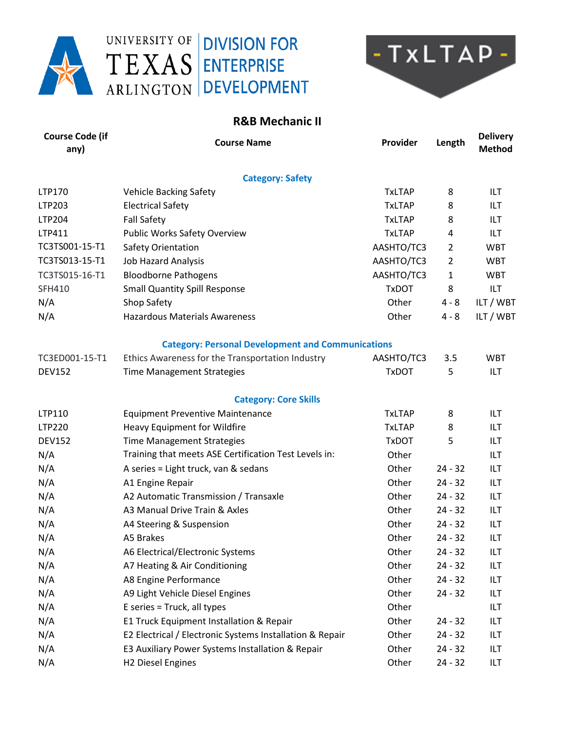





## **R&B Mechanic II**

| <b>Course Code (if</b><br>any) | <b>Course Name</b>                                       | Provider      | Length         | <b>Delivery</b><br><b>Method</b> |
|--------------------------------|----------------------------------------------------------|---------------|----------------|----------------------------------|
|                                | <b>Category: Safety</b>                                  |               |                |                                  |
| LTP170                         | <b>Vehicle Backing Safety</b>                            | <b>TxLTAP</b> | 8              | ILT.                             |
| LTP203                         | <b>Electrical Safety</b>                                 | <b>TxLTAP</b> | 8              | ILT.                             |
| LTP204                         | <b>Fall Safety</b>                                       | <b>TxLTAP</b> | 8              | ILT.                             |
| LTP411                         | <b>Public Works Safety Overview</b>                      | <b>TxLTAP</b> | 4              | ILT.                             |
| TC3TS001-15-T1                 | Safety Orientation                                       | AASHTO/TC3    | $\overline{2}$ | <b>WBT</b>                       |
| TC3TS013-15-T1                 | <b>Job Hazard Analysis</b>                               | AASHTO/TC3    | $\overline{2}$ | <b>WBT</b>                       |
| TC3TS015-16-T1                 | <b>Bloodborne Pathogens</b>                              | AASHTO/TC3    | $\mathbf{1}$   | <b>WBT</b>                       |
| <b>SFH410</b>                  | <b>Small Quantity Spill Response</b>                     | <b>TxDOT</b>  | 8              | ILT                              |
| N/A                            | Shop Safety                                              | Other         | $4 - 8$        | ILT / WBT                        |
| N/A                            | <b>Hazardous Materials Awareness</b>                     | Other         | $4 - 8$        | ILT / WBT                        |
|                                | <b>Category: Personal Development and Communications</b> |               |                |                                  |
| TC3ED001-15-T1                 | Ethics Awareness for the Transportation Industry         | AASHTO/TC3    | 3.5            | <b>WBT</b>                       |
| <b>DEV152</b>                  | <b>Time Management Strategies</b>                        | <b>TxDOT</b>  | 5              | ILT                              |
|                                | <b>Category: Core Skills</b>                             |               |                |                                  |
| LTP110                         | <b>Equipment Preventive Maintenance</b>                  | <b>TxLTAP</b> | 8              | ILT.                             |
| LTP220                         | Heavy Equipment for Wildfire                             | <b>TxLTAP</b> | 8              | ILT                              |
| <b>DEV152</b>                  | <b>Time Management Strategies</b>                        | <b>TxDOT</b>  | 5              | ILT.                             |
| N/A                            | Training that meets ASE Certification Test Levels in:    | Other         |                | <b>ILT</b>                       |
| N/A                            | A series = Light truck, van & sedans                     | Other         | $24 - 32$      | <b>ILT</b>                       |
| N/A                            | A1 Engine Repair                                         | Other         | $24 - 32$      | ILT                              |
| N/A                            | A2 Automatic Transmission / Transaxle                    | Other         | $24 - 32$      | ILT.                             |
| N/A                            | A3 Manual Drive Train & Axles                            | Other         | $24 - 32$      | <b>ILT</b>                       |
| N/A                            | A4 Steering & Suspension                                 | Other         | $24 - 32$      | <b>ILT</b>                       |
| N/A                            | A5 Brakes                                                | Other         | $24 - 32$      | ILT                              |
| N/A                            | A6 Electrical/Electronic Systems                         | Other         | $24 - 32$      | ILT                              |
| N/A                            | A7 Heating & Air Conditioning                            | Other         | $24 - 32$      | ILT                              |
| N/A                            | A8 Engine Performance                                    | Other         | $24 - 32$      | <b>ILT</b>                       |
| N/A                            | A9 Light Vehicle Diesel Engines                          | Other         | $24 - 32$      | ILT                              |
| N/A                            | E series = Truck, all types                              | Other         |                | ILT                              |
| N/A                            | E1 Truck Equipment Installation & Repair                 | Other         | $24 - 32$      | ILT                              |
| N/A                            | E2 Electrical / Electronic Systems Installation & Repair | Other         | $24 - 32$      | ILT                              |
| N/A                            | E3 Auxiliary Power Systems Installation & Repair         | Other         | $24 - 32$      | ILT                              |
| N/A                            | H2 Diesel Engines                                        | Other         | $24 - 32$      | ILT                              |